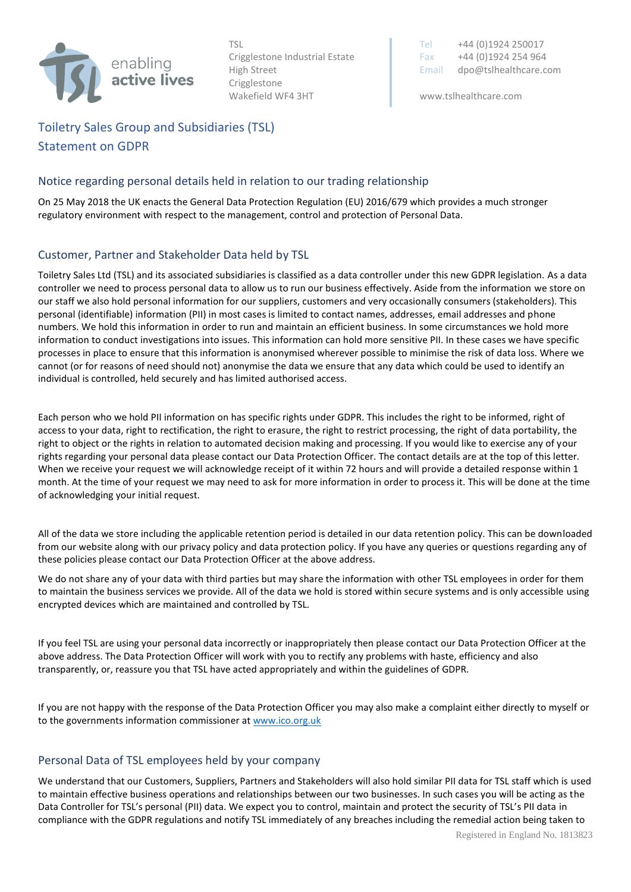

Crigglestone Wakefield WF4 3HT www.tslhealthcare.com

TSL Tel +44 (0)1924 250017 Crigglestone Industrial Estate Fax  $+44 (0)1924 254 964$ High Street **Email dpo@tslhealthcare.com** 

## Toiletry Sales Group and Subsidiaries (TSL) Statement on GDPR

## Notice regarding personal details held in relation to our trading relationship

On 25 May 2018 the UK enacts the General Data Protection Regulation (EU) 2016/679 which provides a much stronger regulatory environment with respect to the management, control and protection of Personal Data.

## Customer, Partner and Stakeholder Data held by TSL

Toiletry Sales Ltd (TSL) and its associated subsidiaries is classified as a data controller under this new GDPR legislation. As a data controller we need to process personal data to allow us to run our business effectively. Aside from the information we store on our staff we also hold personal information for our suppliers, customers and very occasionally consumers (stakeholders). This personal (identifiable) information (PII) in most cases is limited to contact names, addresses, email addresses and phone numbers. We hold this information in order to run and maintain an efficient business. In some circumstances we hold more information to conduct investigations into issues. This information can hold more sensitive PII. In these cases we have specific processes in place to ensure that this information is anonymised wherever possible to minimise the risk of data loss. Where we cannot (or for reasons of need should not) anonymise the data we ensure that any data which could be used to identify an individual is controlled, held securely and has limited authorised access.

Each person who we hold PII information on has specific rights under GDPR. This includes the right to be informed, right of access to your data, right to rectification, the right to erasure, the right to restrict processing, the right of data portability, the right to object or the rights in relation to automated decision making and processing. If you would like to exercise any of your rights regarding your personal data please contact our Data Protection Officer. The contact details are at the top of this letter. When we receive your request we will acknowledge receipt of it within 72 hours and will provide a detailed response within 1 month. At the time of your request we may need to ask for more information in order to process it. This will be done at the time of acknowledging your initial request.

All of the data we store including the applicable retention period is detailed in our data retention policy. This can be downloaded from our website along with our privacy policy and data protection policy. If you have any queries or questions regarding any of these policies please contact our Data Protection Officer at the above address.

We do not share any of your data with third parties but may share the information with other TSL employees in order for them to maintain the business services we provide. All of the data we hold is stored within secure systems and is only accessible using encrypted devices which are maintained and controlled by TSL.

If you feel TSL are using your personal data incorrectly or inappropriately then please contact our Data Protection Officer at the above address. The Data Protection Officer will work with you to rectify any problems with haste, efficiency and also transparently, or, reassure you that TSL have acted appropriately and within the guidelines of GDPR.

If you are not happy with the response of the Data Protection Officer you may also make a complaint either directly to myself or to the governments information commissioner at [www.ico.org.uk](http://www.ico.org.uk/)

## Personal Data of TSL employees held by your company

We understand that our Customers, Suppliers, Partners and Stakeholders will also hold similar PII data for TSL staff which is used to maintain effective business operations and relationships between our two businesses. In such cases you will be acting as the Data Controller for TSL's personal (PII) data. We expect you to control, maintain and protect the security of TSL's PII data in compliance with the GDPR regulations and notify TSL immediately of any breaches including the remedial action being taken to